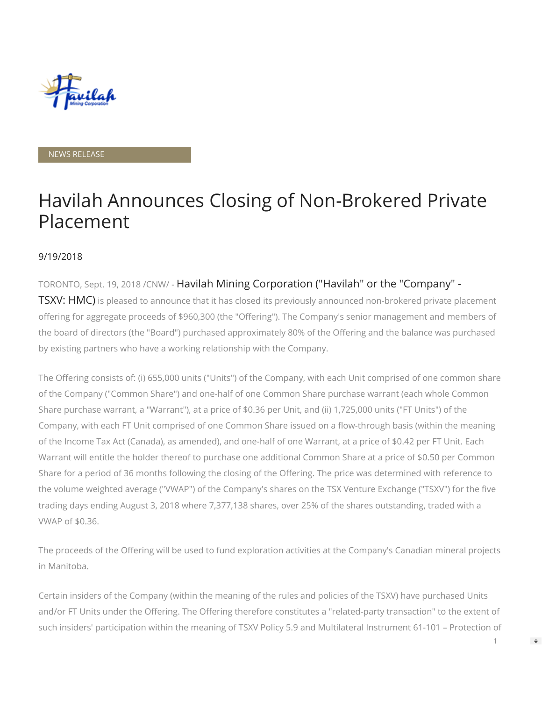

NEWS RELEASE

## Havilah Announces Closing of Non-Brokered Private Placement

## 9/19/2018

## TORONTO, Sept. 19, 2018 /CNW/ - Havilah Mining Corporation ("Havilah" or the "Company" -

**TSXV: HMC)** is pleased to announce that it has closed its previously announced non-brokered private placement offering for aggregate proceeds of \$960,300 (the "Offering"). The Company's senior management and members of the board of directors (the "Board") purchased approximately 80% of the Offering and the balance was purchased by existing partners who have a working relationship with the Company.

The Offering consists of: (i) 655,000 units ("Units") of the Company, with each Unit comprised of one common share of the Company ("Common Share") and one-half of one Common Share purchase warrant (each whole Common Share purchase warrant, a "Warrant"), at a price of \$0.36 per Unit, and (ii) 1,725,000 units ("FT Units") of the Company, with each FT Unit comprised of one Common Share issued on a flow-through basis (within the meaning of the Income Tax Act (Canada), as amended), and one-half of one Warrant, at a price of \$0.42 per FT Unit. Each Warrant will entitle the holder thereof to purchase one additional Common Share at a price of \$0.50 per Common Share for a period of 36 months following the closing of the Offering. The price was determined with reference to the volume weighted average ("VWAP") of the Company's shares on the TSX Venture Exchange ("TSXV") for the five trading days ending August 3, 2018 where 7,377,138 shares, over 25% of the shares outstanding, traded with a VWAP of \$0.36.

The proceeds of the Offering will be used to fund exploration activities at the Company's Canadian mineral projects in Manitoba.

Certain insiders of the Company (within the meaning of the rules and policies of the TSXV) have purchased Units and/or FT Units under the Offering. The Offering therefore constitutes a "related-party transaction" to the extent of such insiders' participation within the meaning of TSXV Policy 5.9 and Multilateral Instrument 61-101 – Protection of

1

 $\Rightarrow$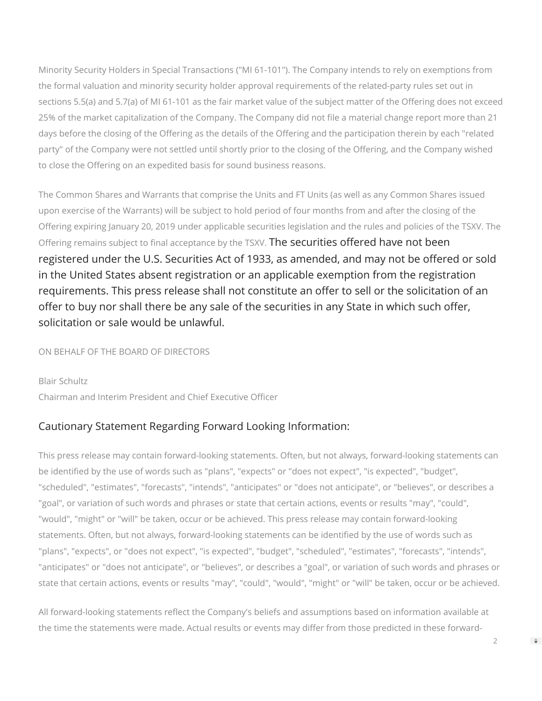Minority Security Holders in Special Transactions ("MI 61-101"). The Company intends to rely on exemptions from the formal valuation and minority security holder approval requirements of the related-party rules set out in sections 5.5(a) and 5.7(a) of MI 61-101 as the fair market value of the subject matter of the Offering does not exceed 25% of the market capitalization of the Company. The Company did not file a material change report more than 21 days before the closing of the Offering as the details of the Offering and the participation therein by each "related party" of the Company were not settled until shortly prior to the closing of the Offering, and the Company wished to close the Offering on an expedited basis for sound business reasons.

The Common Shares and Warrants that comprise the Units and FT Units (as well as any Common Shares issued upon exercise of the Warrants) will be subject to hold period of four months from and after the closing of the Offering expiring January 20, 2019 under applicable securities legislation and the rules and policies of the TSXV. The Offering remains subject to final acceptance by the TSXV. The securities offered have not been registered under the U.S. Securities Act of 1933, as amended, and may not be offered or sold in the United States absent registration or an applicable exemption from the registration requirements. This press release shall not constitute an offer to sell or the solicitation of an offer to buy nor shall there be any sale of the securities in any State in which such offer, solicitation or sale would be unlawful.

ON BEHALF OF THE BOARD OF DIRECTORS

Blair Schultz Chairman and Interim President and Chief Executive Officer

## Cautionary Statement Regarding Forward Looking Information:

This press release may contain forward-looking statements. Often, but not always, forward-looking statements can be identified by the use of words such as "plans", "expects" or "does not expect", "is expected", "budget", "scheduled", "estimates", "forecasts", "intends", "anticipates" or "does not anticipate", or "believes", or describes a "goal", or variation of such words and phrases or state that certain actions, events or results "may", "could", "would", "might" or "will" be taken, occur or be achieved. This press release may contain forward-looking statements. Often, but not always, forward-looking statements can be identified by the use of words such as "plans", "expects", or "does not expect", "is expected", "budget", "scheduled", "estimates", "forecasts", "intends", "anticipates" or "does not anticipate", or "believes", or describes a "goal", or variation of such words and phrases or state that certain actions, events or results "may", "could", "would", "might" or "will" be taken, occur or be achieved.

All forward-looking statements reflect the Company's beliefs and assumptions based on information available at the time the statements were made. Actual results or events may differ from those predicted in these forward-

2

 $\Rightarrow$